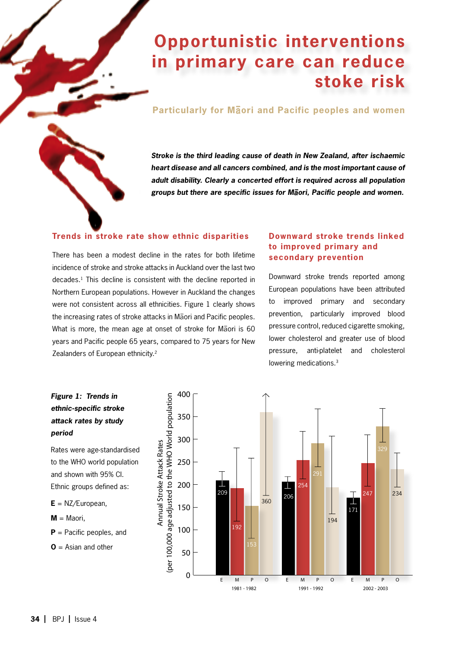# **Opportunistic interventions in primary care can reduce stoke risk**

## **Particularly for M**ä**ori and Pacific peoples and women**

*Stroke is the third leading cause of death in New Zealand, after ischaemic heart disease and all cancers combined, and is the most important cause of adult disability. Clearly a concerted effort is required across all population groups but there are specific issues for M*ä*ori, Pacific people and women.*

## **Trends in stroke rate show ethnic disparities**

There has been a modest decline in the rates for both lifetime incidence of stroke and stroke attacks in Auckland over the last two decades.1 This decline is consistent with the decline reported in Northern European populations. However in Auckland the changes were not consistent across all ethnicities. Figure 1 clearly shows the increasing rates of stroke attacks in Mäori and Pacific peoples. What is more, the mean age at onset of stroke for Mäori is 60 years and Pacific people 65 years, compared to 75 years for New Zealanders of European ethnicity.<sup>2</sup>

## **Downward stroke trends linked to improved primary and secondary prevention**

Downward stroke trends reported among European populations have been attributed to improved primary and secondary prevention, particularly improved blood pressure control, reduced cigarette smoking, lower cholesterol and greater use of blood pressure, anti-platelet and cholesterol lowering medications.<sup>3</sup>